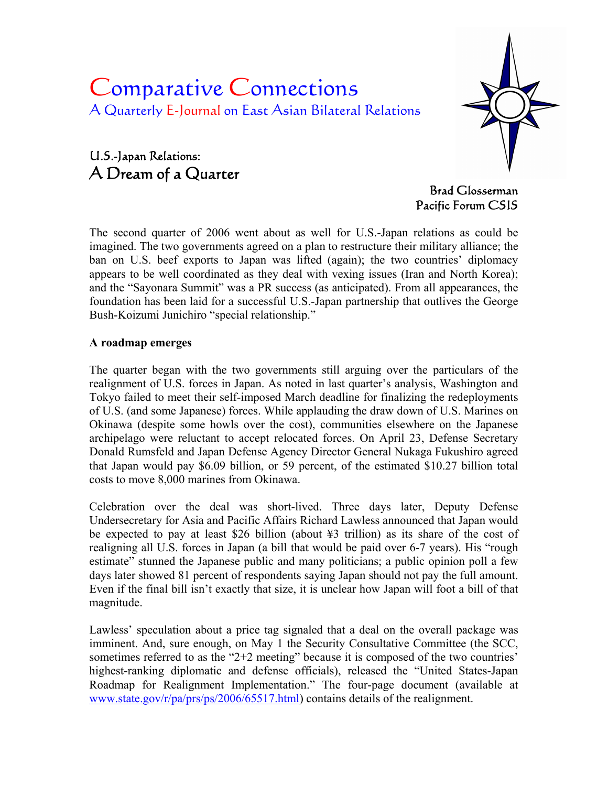# Comparative Connections A Quarterly E-Journal on East Asian Bilateral Relations





Brad Glosserman Pacific Forum CSIS

The second quarter of 2006 went about as well for U.S.-Japan relations as could be imagined. The two governments agreed on a plan to restructure their military alliance; the ban on U.S. beef exports to Japan was lifted (again); the two countries' diplomacy appears to be well coordinated as they deal with vexing issues (Iran and North Korea); and the "Sayonara Summit" was a PR success (as anticipated). From all appearances, the foundation has been laid for a successful U.S.-Japan partnership that outlives the George Bush-Koizumi Junichiro "special relationship."

#### **A roadmap emerges**

The quarter began with the two governments still arguing over the particulars of the realignment of U.S. forces in Japan. As noted in last quarter's analysis, Washington and Tokyo failed to meet their self-imposed March deadline for finalizing the redeployments of U.S. (and some Japanese) forces. While applauding the draw down of U.S. Marines on Okinawa (despite some howls over the cost), communities elsewhere on the Japanese archipelago were reluctant to accept relocated forces. On April 23, Defense Secretary Donald Rumsfeld and Japan Defense Agency Director General Nukaga Fukushiro agreed that Japan would pay \$6.09 billion, or 59 percent, of the estimated \$10.27 billion total costs to move 8,000 marines from Okinawa.

Celebration over the deal was short-lived. Three days later, Deputy Defense Undersecretary for Asia and Pacific Affairs Richard Lawless announced that Japan would be expected to pay at least \$26 billion (about ¥3 trillion) as its share of the cost of realigning all U.S. forces in Japan (a bill that would be paid over 6-7 years). His "rough estimate" stunned the Japanese public and many politicians; a public opinion poll a few days later showed 81 percent of respondents saying Japan should not pay the full amount. Even if the final bill isn't exactly that size, it is unclear how Japan will foot a bill of that magnitude.

Lawless' speculation about a price tag signaled that a deal on the overall package was imminent. And, sure enough, on May 1 the Security Consultative Committee (the SCC, sometimes referred to as the "2+2 meeting" because it is composed of the two countries' highest-ranking diplomatic and defense officials), released the "United States-Japan Roadmap for Realignment Implementation." The four-page document (available at [www.state.gov/r/pa/prs/ps/2006/65517.html\)](http://www.state.gov/r/pa/prs/ps/2006/65517.html) contains details of the realignment.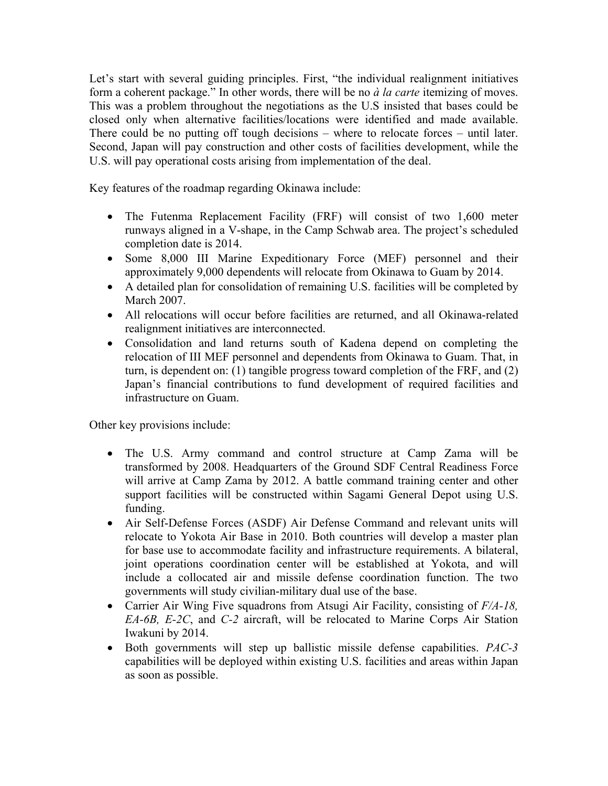Let's start with several guiding principles. First, "the individual realignment initiatives form a coherent package." In other words, there will be no *à la carte* itemizing of moves. This was a problem throughout the negotiations as the U.S insisted that bases could be closed only when alternative facilities/locations were identified and made available. There could be no putting off tough decisions – where to relocate forces – until later. Second, Japan will pay construction and other costs of facilities development, while the U.S. will pay operational costs arising from implementation of the deal.

Key features of the roadmap regarding Okinawa include:

- The Futenma Replacement Facility (FRF) will consist of two 1,600 meter runways aligned in a V-shape, in the Camp Schwab area. The project's scheduled completion date is 2014.
- Some 8,000 III Marine Expeditionary Force (MEF) personnel and their approximately 9,000 dependents will relocate from Okinawa to Guam by 2014.
- A detailed plan for consolidation of remaining U.S. facilities will be completed by March 2007.
- All relocations will occur before facilities are returned, and all Okinawa-related realignment initiatives are interconnected.
- Consolidation and land returns south of Kadena depend on completing the relocation of III MEF personnel and dependents from Okinawa to Guam. That, in turn, is dependent on: (1) tangible progress toward completion of the FRF, and (2) Japan's financial contributions to fund development of required facilities and infrastructure on Guam.

Other key provisions include:

- The U.S. Army command and control structure at Camp Zama will be transformed by 2008. Headquarters of the Ground SDF Central Readiness Force will arrive at Camp Zama by 2012. A battle command training center and other support facilities will be constructed within Sagami General Depot using U.S. funding.
- Air Self-Defense Forces (ASDF) Air Defense Command and relevant units will relocate to Yokota Air Base in 2010. Both countries will develop a master plan for base use to accommodate facility and infrastructure requirements. A bilateral, joint operations coordination center will be established at Yokota, and will include a collocated air and missile defense coordination function. The two governments will study civilian-military dual use of the base.
- Carrier Air Wing Five squadrons from Atsugi Air Facility, consisting of *F/A-18, EA-6B, E-2C*, and *C-2* aircraft, will be relocated to Marine Corps Air Station Iwakuni by 2014.
- Both governments will step up ballistic missile defense capabilities. *PAC-3*  capabilities will be deployed within existing U.S. facilities and areas within Japan as soon as possible.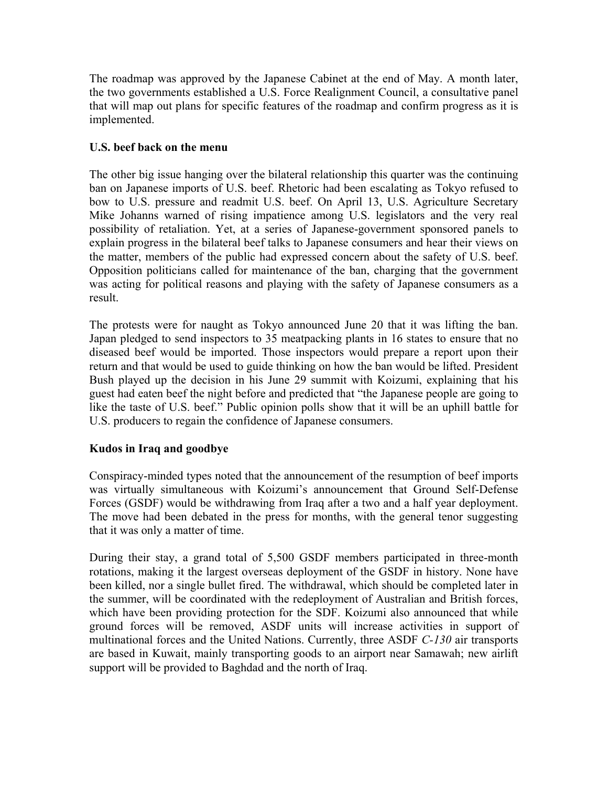The roadmap was approved by the Japanese Cabinet at the end of May. A month later, the two governments established a U.S. Force Realignment Council, a consultative panel that will map out plans for specific features of the roadmap and confirm progress as it is implemented.

## **U.S. beef back on the menu**

The other big issue hanging over the bilateral relationship this quarter was the continuing ban on Japanese imports of U.S. beef. Rhetoric had been escalating as Tokyo refused to bow to U.S. pressure and readmit U.S. beef. On April 13, U.S. Agriculture Secretary Mike Johanns warned of rising impatience among U.S. legislators and the very real possibility of retaliation. Yet, at a series of Japanese-government sponsored panels to explain progress in the bilateral beef talks to Japanese consumers and hear their views on the matter, members of the public had expressed concern about the safety of U.S. beef. Opposition politicians called for maintenance of the ban, charging that the government was acting for political reasons and playing with the safety of Japanese consumers as a result.

The protests were for naught as Tokyo announced June 20 that it was lifting the ban. Japan pledged to send inspectors to 35 meatpacking plants in 16 states to ensure that no diseased beef would be imported. Those inspectors would prepare a report upon their return and that would be used to guide thinking on how the ban would be lifted. President Bush played up the decision in his June 29 summit with Koizumi, explaining that his guest had eaten beef the night before and predicted that "the Japanese people are going to like the taste of U.S. beef." Public opinion polls show that it will be an uphill battle for U.S. producers to regain the confidence of Japanese consumers.

## **Kudos in Iraq and goodbye**

Conspiracy-minded types noted that the announcement of the resumption of beef imports was virtually simultaneous with Koizumi's announcement that Ground Self-Defense Forces (GSDF) would be withdrawing from Iraq after a two and a half year deployment. The move had been debated in the press for months, with the general tenor suggesting that it was only a matter of time.

During their stay, a grand total of 5,500 GSDF members participated in three-month rotations, making it the largest overseas deployment of the GSDF in history. None have been killed, nor a single bullet fired. The withdrawal, which should be completed later in the summer, will be coordinated with the redeployment of Australian and British forces, which have been providing protection for the SDF. Koizumi also announced that while ground forces will be removed, ASDF units will increase activities in support of multinational forces and the United Nations. Currently, three ASDF *C-130* air transports are based in Kuwait, mainly transporting goods to an airport near Samawah; new airlift support will be provided to Baghdad and the north of Iraq.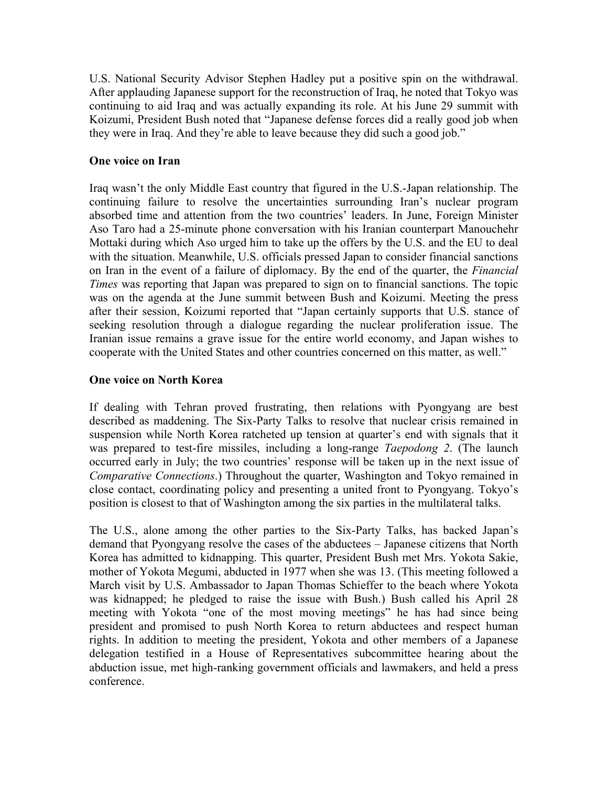U.S. National Security Advisor Stephen Hadley put a positive spin on the withdrawal. After applauding Japanese support for the reconstruction of Iraq, he noted that Tokyo was continuing to aid Iraq and was actually expanding its role. At his June 29 summit with Koizumi, President Bush noted that "Japanese defense forces did a really good job when they were in Iraq. And they're able to leave because they did such a good job."

## **One voice on Iran**

Iraq wasn't the only Middle East country that figured in the U.S.-Japan relationship. The continuing failure to resolve the uncertainties surrounding Iran's nuclear program absorbed time and attention from the two countries' leaders. In June, Foreign Minister Aso Taro had a 25-minute phone conversation with his Iranian counterpart Manouchehr Mottaki during which Aso urged him to take up the offers by the U.S. and the EU to deal with the situation. Meanwhile, U.S. officials pressed Japan to consider financial sanctions on Iran in the event of a failure of diplomacy. By the end of the quarter, the *Financial Times* was reporting that Japan was prepared to sign on to financial sanctions. The topic was on the agenda at the June summit between Bush and Koizumi. Meeting the press after their session, Koizumi reported that "Japan certainly supports that U.S. stance of seeking resolution through a dialogue regarding the nuclear proliferation issue. The Iranian issue remains a grave issue for the entire world economy, and Japan wishes to cooperate with the United States and other countries concerned on this matter, as well."

#### **One voice on North Korea**

If dealing with Tehran proved frustrating, then relations with Pyongyang are best described as maddening. The Six-Party Talks to resolve that nuclear crisis remained in suspension while North Korea ratcheted up tension at quarter's end with signals that it was prepared to test-fire missiles, including a long-range *Taepodong 2*. (The launch occurred early in July; the two countries' response will be taken up in the next issue of *Comparative Connections*.) Throughout the quarter, Washington and Tokyo remained in close contact, coordinating policy and presenting a united front to Pyongyang. Tokyo's position is closest to that of Washington among the six parties in the multilateral talks.

The U.S., alone among the other parties to the Six-Party Talks, has backed Japan's demand that Pyongyang resolve the cases of the abductees – Japanese citizens that North Korea has admitted to kidnapping. This quarter, President Bush met Mrs. Yokota Sakie, mother of Yokota Megumi, abducted in 1977 when she was 13. (This meeting followed a March visit by U.S. Ambassador to Japan Thomas Schieffer to the beach where Yokota was kidnapped; he pledged to raise the issue with Bush.) Bush called his April 28 meeting with Yokota "one of the most moving meetings" he has had since being president and promised to push North Korea to return abductees and respect human rights. In addition to meeting the president, Yokota and other members of a Japanese delegation testified in a House of Representatives subcommittee hearing about the abduction issue, met high-ranking government officials and lawmakers, and held a press conference.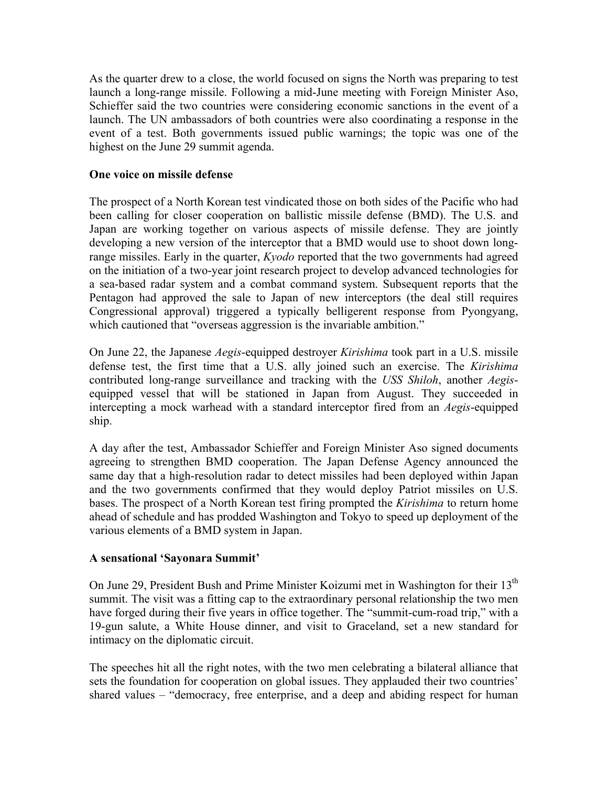As the quarter drew to a close, the world focused on signs the North was preparing to test launch a long-range missile. Following a mid-June meeting with Foreign Minister Aso, Schieffer said the two countries were considering economic sanctions in the event of a launch. The UN ambassadors of both countries were also coordinating a response in the event of a test. Both governments issued public warnings; the topic was one of the highest on the June 29 summit agenda.

#### **One voice on missile defense**

The prospect of a North Korean test vindicated those on both sides of the Pacific who had been calling for closer cooperation on ballistic missile defense (BMD). The U.S. and Japan are working together on various aspects of missile defense. They are jointly developing a new version of the interceptor that a BMD would use to shoot down longrange missiles. Early in the quarter, *Kyodo* reported that the two governments had agreed on the initiation of a two-year joint research project to develop advanced technologies for a sea-based radar system and a combat command system. Subsequent reports that the Pentagon had approved the sale to Japan of new interceptors (the deal still requires Congressional approval) triggered a typically belligerent response from Pyongyang, which cautioned that "overseas aggression is the invariable ambition."

On June 22, the Japanese *Aegis*-equipped destroyer *Kirishima* took part in a U.S. missile defense test, the first time that a U.S. ally joined such an exercise. The *Kirishima*  contributed long-range surveillance and tracking with the *USS Shiloh*, another *Aegis*equipped vessel that will be stationed in Japan from August. They succeeded in intercepting a mock warhead with a standard interceptor fired from an *Aegis*-equipped ship.

A day after the test, Ambassador Schieffer and Foreign Minister Aso signed documents agreeing to strengthen BMD cooperation. The Japan Defense Agency announced the same day that a high-resolution radar to detect missiles had been deployed within Japan and the two governments confirmed that they would deploy Patriot missiles on U.S. bases. The prospect of a North Korean test firing prompted the *Kirishima* to return home ahead of schedule and has prodded Washington and Tokyo to speed up deployment of the various elements of a BMD system in Japan.

#### **A sensational 'Sayonara Summit'**

On June 29, President Bush and Prime Minister Koizumi met in Washington for their 13<sup>th</sup> summit. The visit was a fitting cap to the extraordinary personal relationship the two men have forged during their five years in office together. The "summit-cum-road trip," with a 19-gun salute, a White House dinner, and visit to Graceland, set a new standard for intimacy on the diplomatic circuit.

The speeches hit all the right notes, with the two men celebrating a bilateral alliance that sets the foundation for cooperation on global issues. They applauded their two countries' shared values – "democracy, free enterprise, and a deep and abiding respect for human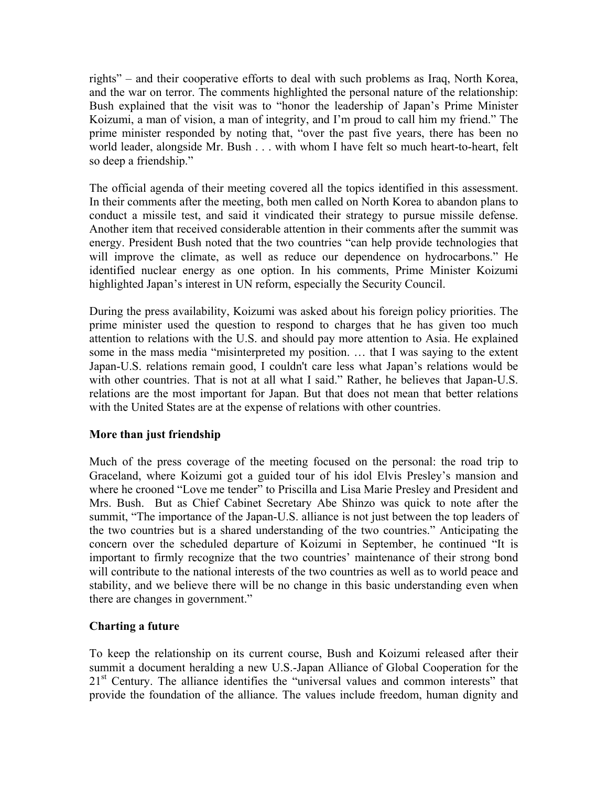rights" – and their cooperative efforts to deal with such problems as Iraq, North Korea, and the war on terror. The comments highlighted the personal nature of the relationship: Bush explained that the visit was to "honor the leadership of Japan's Prime Minister Koizumi, a man of vision, a man of integrity, and I'm proud to call him my friend." The prime minister responded by noting that, "over the past five years, there has been no world leader, alongside Mr. Bush . . . with whom I have felt so much heart-to-heart, felt so deep a friendship."

The official agenda of their meeting covered all the topics identified in this assessment. In their comments after the meeting, both men called on North Korea to abandon plans to conduct a missile test, and said it vindicated their strategy to pursue missile defense. Another item that received considerable attention in their comments after the summit was energy. President Bush noted that the two countries "can help provide technologies that will improve the climate, as well as reduce our dependence on hydrocarbons." He identified nuclear energy as one option. In his comments, Prime Minister Koizumi highlighted Japan's interest in UN reform, especially the Security Council.

During the press availability, Koizumi was asked about his foreign policy priorities. The prime minister used the question to respond to charges that he has given too much attention to relations with the U.S. and should pay more attention to Asia. He explained some in the mass media "misinterpreted my position. … that I was saying to the extent Japan-U.S. relations remain good, I couldn't care less what Japan's relations would be with other countries. That is not at all what I said." Rather, he believes that Japan-U.S. relations are the most important for Japan. But that does not mean that better relations with the United States are at the expense of relations with other countries.

## **More than just friendship**

Much of the press coverage of the meeting focused on the personal: the road trip to Graceland, where Koizumi got a guided tour of his idol Elvis Presley's mansion and where he crooned "Love me tender" to Priscilla and Lisa Marie Presley and President and Mrs. Bush. But as Chief Cabinet Secretary Abe Shinzo was quick to note after the summit, "The importance of the Japan-U.S. alliance is not just between the top leaders of the two countries but is a shared understanding of the two countries." Anticipating the concern over the scheduled departure of Koizumi in September, he continued "It is important to firmly recognize that the two countries' maintenance of their strong bond will contribute to the national interests of the two countries as well as to world peace and stability, and we believe there will be no change in this basic understanding even when there are changes in government."

## **Charting a future**

To keep the relationship on its current course, Bush and Koizumi released after their summit a document heralding a new U.S.-Japan Alliance of Global Cooperation for the 21<sup>st</sup> Century. The alliance identifies the "universal values and common interests" that provide the foundation of the alliance. The values include freedom, human dignity and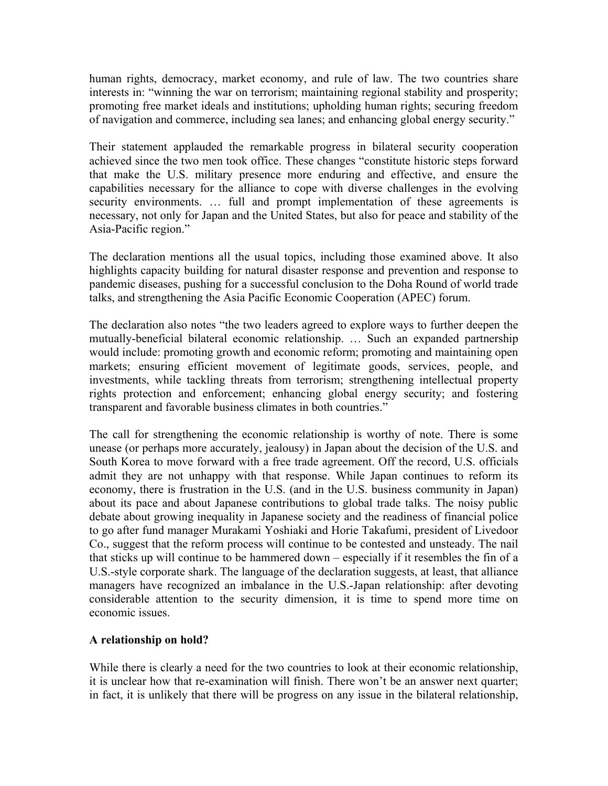human rights, democracy, market economy, and rule of law. The two countries share interests in: "winning the war on terrorism; maintaining regional stability and prosperity; promoting free market ideals and institutions; upholding human rights; securing freedom of navigation and commerce, including sea lanes; and enhancing global energy security."

Their statement applauded the remarkable progress in bilateral security cooperation achieved since the two men took office. These changes "constitute historic steps forward that make the U.S. military presence more enduring and effective, and ensure the capabilities necessary for the alliance to cope with diverse challenges in the evolving security environments. ... full and prompt implementation of these agreements is necessary, not only for Japan and the United States, but also for peace and stability of the Asia-Pacific region."

The declaration mentions all the usual topics, including those examined above. It also highlights capacity building for natural disaster response and prevention and response to pandemic diseases, pushing for a successful conclusion to the Doha Round of world trade talks, and strengthening the Asia Pacific Economic Cooperation (APEC) forum.

The declaration also notes "the two leaders agreed to explore ways to further deepen the mutually-beneficial bilateral economic relationship. … Such an expanded partnership would include: promoting growth and economic reform; promoting and maintaining open markets; ensuring efficient movement of legitimate goods, services, people, and investments, while tackling threats from terrorism; strengthening intellectual property rights protection and enforcement; enhancing global energy security; and fostering transparent and favorable business climates in both countries."

The call for strengthening the economic relationship is worthy of note. There is some unease (or perhaps more accurately, jealousy) in Japan about the decision of the U.S. and South Korea to move forward with a free trade agreement. Off the record, U.S. officials admit they are not unhappy with that response. While Japan continues to reform its economy, there is frustration in the U.S. (and in the U.S. business community in Japan) about its pace and about Japanese contributions to global trade talks. The noisy public debate about growing inequality in Japanese society and the readiness of financial police to go after fund manager Murakami Yoshiaki and Horie Takafumi, president of Livedoor Co., suggest that the reform process will continue to be contested and unsteady. The nail that sticks up will continue to be hammered down – especially if it resembles the fin of a U.S.-style corporate shark. The language of the declaration suggests, at least, that alliance managers have recognized an imbalance in the U.S.-Japan relationship: after devoting considerable attention to the security dimension, it is time to spend more time on economic issues.

## **A relationship on hold?**

While there is clearly a need for the two countries to look at their economic relationship, it is unclear how that re-examination will finish. There won't be an answer next quarter; in fact, it is unlikely that there will be progress on any issue in the bilateral relationship,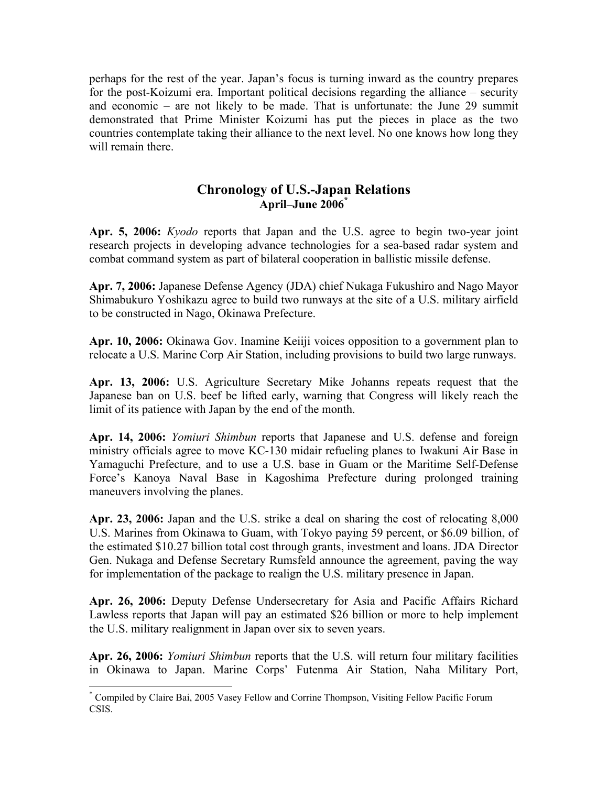perhaps for the rest of the year. Japan's focus is turning inward as the country prepares for the post-Koizumi era. Important political decisions regarding the alliance – security and economic – are not likely to be made. That is unfortunate: the June 29 summit demonstrated that Prime Minister Koizumi has put the pieces in place as the two countries contemplate taking their alliance to the next level. No one knows how long they will remain there.

## **Chronology of U.S.-Japan Relations April–June 200[6\\*](#page-7-0)**

**Apr. 5, 2006:** *Kyodo* reports that Japan and the U.S. agree to begin two-year joint research projects in developing advance technologies for a sea-based radar system and combat command system as part of bilateral cooperation in ballistic missile defense.

**Apr. 7, 2006:** Japanese Defense Agency (JDA) chief Nukaga Fukushiro and Nago Mayor Shimabukuro Yoshikazu agree to build two runways at the site of a U.S. military airfield to be constructed in Nago, Okinawa Prefecture.

**Apr. 10, 2006:** Okinawa Gov. Inamine Keiiji voices opposition to a government plan to relocate a U.S. Marine Corp Air Station, including provisions to build two large runways.

**Apr. 13, 2006:** U.S. Agriculture Secretary Mike Johanns repeats request that the Japanese ban on U.S. beef be lifted early, warning that Congress will likely reach the limit of its patience with Japan by the end of the month.

**Apr. 14, 2006:** *Yomiuri Shimbun* reports that Japanese and U.S. defense and foreign ministry officials agree to move KC-130 midair refueling planes to Iwakuni Air Base in Yamaguchi Prefecture, and to use a U.S. base in Guam or the Maritime Self-Defense Force's Kanoya Naval Base in Kagoshima Prefecture during prolonged training maneuvers involving the planes.

**Apr. 23, 2006:** Japan and the U.S. strike a deal on sharing the cost of relocating 8,000 U.S. Marines from Okinawa to Guam, with Tokyo paying 59 percent, or \$6.09 billion, of the estimated \$10.27 billion total cost through grants, investment and loans. JDA Director Gen. Nukaga and Defense Secretary Rumsfeld announce the agreement, paving the way for implementation of the package to realign the U.S. military presence in Japan.

**Apr. 26, 2006:** Deputy Defense Undersecretary for Asia and Pacific Affairs Richard Lawless reports that Japan will pay an estimated \$26 billion or more to help implement the U.S. military realignment in Japan over six to seven years.

**Apr. 26, 2006:** *Yomiuri Shimbun* reports that the U.S. will return four military facilities in Okinawa to Japan. Marine Corps' Futenma Air Station, Naha Military Port,

1

<span id="page-7-0"></span><sup>\*</sup> Compiled by Claire Bai, 2005 Vasey Fellow and Corrine Thompson, Visiting Fellow Pacific Forum CSIS.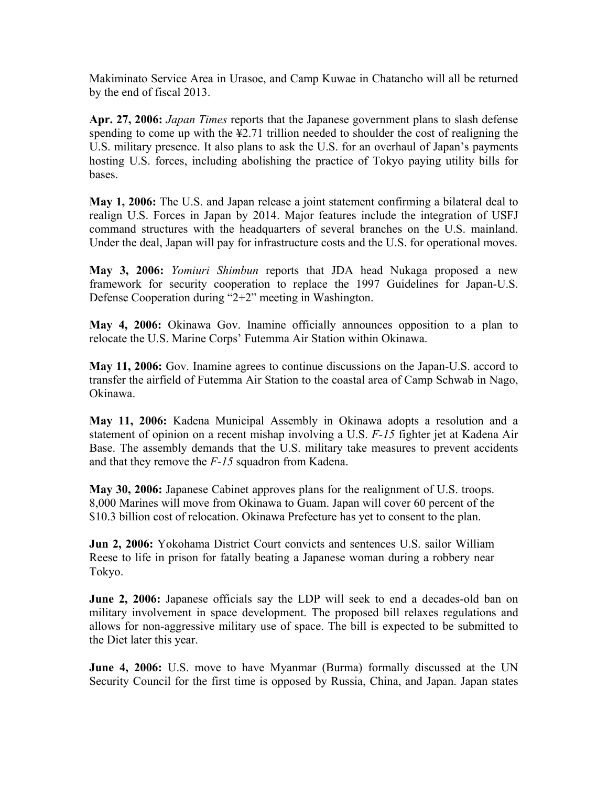Makiminato Service Area in Urasoe, and Camp Kuwae in Chatancho will all be returned by the end of fiscal 2013.

**Apr. 27, 2006:** *Japan Times* reports that the Japanese government plans to slash defense spending to come up with the ¥2.71 trillion needed to shoulder the cost of realigning the U.S. military presence. It also plans to ask the U.S. for an overhaul of Japan's payments hosting U.S. forces, including abolishing the practice of Tokyo paying utility bills for bases.

**May 1, 2006:** The U.S. and Japan release a joint statement confirming a bilateral deal to realign U.S. Forces in Japan by 2014. Major features include the integration of USFJ command structures with the headquarters of several branches on the U.S. mainland. Under the deal, Japan will pay for infrastructure costs and the U.S. for operational moves.

**May 3, 2006:** *Yomiuri Shimbun* reports that JDA head Nukaga proposed a new framework for security cooperation to replace the 1997 Guidelines for Japan-U.S. Defense Cooperation during "2+2" meeting in Washington.

**May 4, 2006:** Okinawa Gov. Inamine officially announces opposition to a plan to relocate the U.S. Marine Corps' Futemma Air Station within Okinawa.

**May 11, 2006:** Gov. Inamine agrees to continue discussions on the Japan-U.S. accord to transfer the airfield of Futemma Air Station to the coastal area of Camp Schwab in Nago, Okinawa.

**May 11, 2006:** Kadena Municipal Assembly in Okinawa adopts a resolution and a statement of opinion on a recent mishap involving a U.S. *F-15* fighter jet at Kadena Air Base. The assembly demands that the U.S. military take measures to prevent accidents and that they remove the *F-15* squadron from Kadena.

**May 30, 2006:** Japanese Cabinet approves plans for the realignment of U.S. troops. 8,000 Marines will move from Okinawa to Guam. Japan will cover 60 percent of the \$10.3 billion cost of relocation. Okinawa Prefecture has yet to consent to the plan.

**Jun 2, 2006:** Yokohama District Court convicts and sentences U.S. sailor William Reese to life in prison for fatally beating a Japanese woman during a robbery near Tokyo.

**June 2, 2006:** Japanese officials say the LDP will seek to end a decades-old ban on military involvement in space development. The proposed bill relaxes regulations and allows for non-aggressive military use of space. The bill is expected to be submitted to the Diet later this year.

**June 4, 2006:** U.S. move to have Myanmar (Burma) formally discussed at the UN Security Council for the first time is opposed by Russia, China, and Japan. Japan states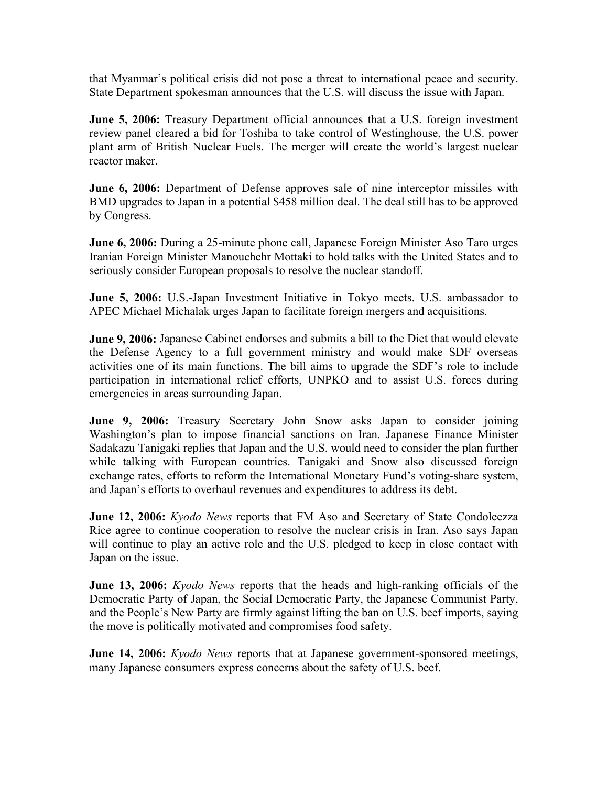that Myanmar's political crisis did not pose a threat to international peace and security. State Department spokesman announces that the U.S. will discuss the issue with Japan.

**June 5, 2006:** Treasury Department official announces that a U.S. foreign investment review panel cleared a bid for Toshiba to take control of Westinghouse, the U.S. power plant arm of British Nuclear Fuels. The merger will create the world's largest nuclear reactor maker.

**June 6, 2006:** Department of Defense approves sale of nine interceptor missiles with BMD upgrades to Japan in a potential \$458 million deal. The deal still has to be approved by Congress.

**June 6, 2006:** During a 25-minute phone call, Japanese Foreign Minister Aso Taro urges Iranian Foreign Minister Manouchehr Mottaki to hold talks with the United States and to seriously consider European proposals to resolve the nuclear standoff.

**June 5, 2006:** U.S.-Japan Investment Initiative in Tokyo meets. U.S. ambassador to APEC Michael Michalak urges Japan to facilitate foreign mergers and acquisitions.

**June 9, 2006:** Japanese Cabinet endorses and submits a bill to the Diet that would elevate the Defense Agency to a full government ministry and would make SDF overseas activities one of its main functions. The bill aims to upgrade the SDF's role to include participation in international relief efforts, UNPKO and to assist U.S. forces during emergencies in areas surrounding Japan.

**June 9, 2006:** Treasury Secretary John Snow asks Japan to consider joining Washington's plan to impose financial sanctions on Iran. Japanese Finance Minister Sadakazu Tanigaki replies that Japan and the U.S. would need to consider the plan further while talking with European countries. Tanigaki and Snow also discussed foreign exchange rates, efforts to reform the International Monetary Fund's voting-share system, and Japan's efforts to overhaul revenues and expenditures to address its debt.

**June 12, 2006:** *Kyodo News* reports that FM Aso and Secretary of State Condoleezza Rice agree to continue cooperation to resolve the nuclear crisis in Iran. Aso says Japan will continue to play an active role and the U.S. pledged to keep in close contact with Japan on the issue.

**June 13, 2006:** *Kyodo News* reports that the heads and high-ranking officials of the Democratic Party of Japan, the Social Democratic Party, the Japanese Communist Party, and the People's New Party are firmly against lifting the ban on U.S. beef imports, saying the move is politically motivated and compromises food safety.

**June 14, 2006:** *Kyodo News* reports that at Japanese government-sponsored meetings, many Japanese consumers express concerns about the safety of U.S. beef.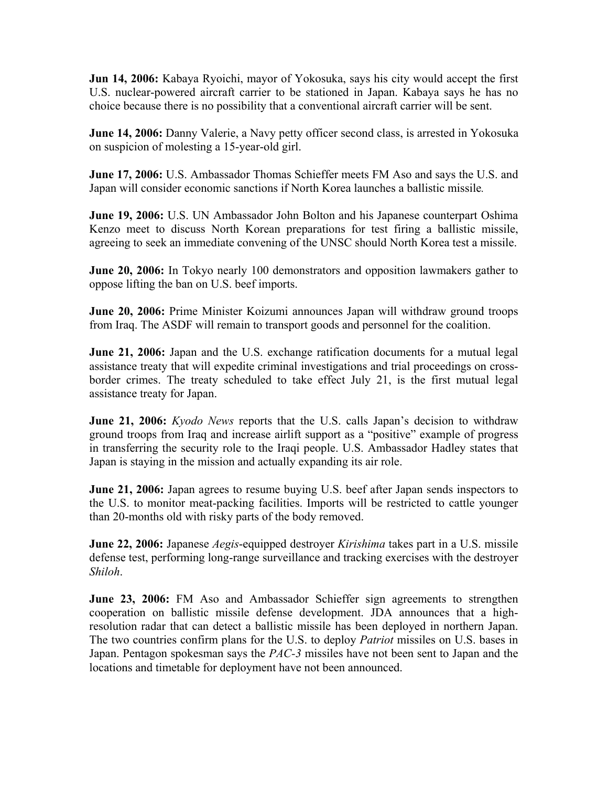**Jun 14, 2006:** Kabaya Ryoichi, mayor of Yokosuka, says his city would accept the first U.S. nuclear-powered aircraft carrier to be stationed in Japan. Kabaya says he has no choice because there is no possibility that a conventional aircraft carrier will be sent.

**June 14, 2006:** Danny Valerie, a Navy petty officer second class, is arrested in Yokosuka on suspicion of molesting a 15-year-old girl.

**June 17, 2006:** U.S. Ambassador Thomas Schieffer meets FM Aso and says the U.S. and Japan will consider economic sanctions if North Korea launches a ballistic missile*.* 

**June 19, 2006:** U.S. UN Ambassador John Bolton and his Japanese counterpart Oshima Kenzo meet to discuss North Korean preparations for test firing a ballistic missile, agreeing to seek an immediate convening of the UNSC should North Korea test a missile.

**June 20, 2006:** In Tokyo nearly 100 demonstrators and opposition lawmakers gather to oppose lifting the ban on U.S. beef imports.

**June 20, 2006:** Prime Minister Koizumi announces Japan will withdraw ground troops from Iraq. The ASDF will remain to transport goods and personnel for the coalition.

**June 21, 2006:** Japan and the U.S. exchange ratification documents for a mutual legal assistance treaty that will expedite criminal investigations and trial proceedings on crossborder crimes. The treaty scheduled to take effect July 21, is the first mutual legal assistance treaty for Japan.

**June 21, 2006:** *Kyodo News* reports that the U.S. calls Japan's decision to withdraw ground troops from Iraq and increase airlift support as a "positive" example of progress in transferring the security role to the Iraqi people. U.S. Ambassador Hadley states that Japan is staying in the mission and actually expanding its air role.

**June 21, 2006:** Japan agrees to resume buying U.S. beef after Japan sends inspectors to the U.S. to monitor meat-packing facilities. Imports will be restricted to cattle younger than 20-months old with risky parts of the body removed.

**June 22, 2006:** Japanese *Aegis*-equipped destroyer *Kirishima* takes part in a U.S. missile defense test, performing long-range surveillance and tracking exercises with the destroyer *Shiloh*.

**June 23, 2006:** FM Aso and Ambassador Schieffer sign agreements to strengthen cooperation on ballistic missile defense development. JDA announces that a highresolution radar that can detect a ballistic missile has been deployed in northern Japan. The two countries confirm plans for the U.S. to deploy *Patriot* missiles on U.S. bases in Japan. Pentagon spokesman says the *PAC-3* missiles have not been sent to Japan and the locations and timetable for deployment have not been announced.